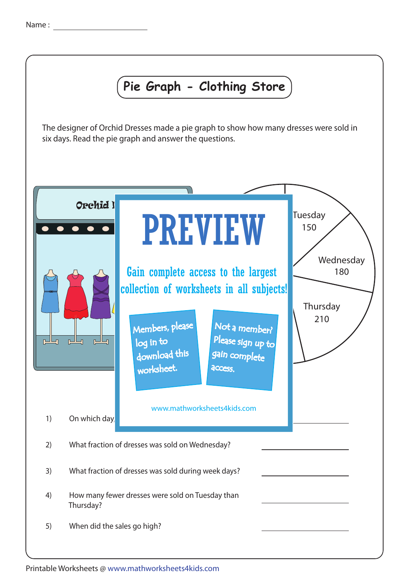